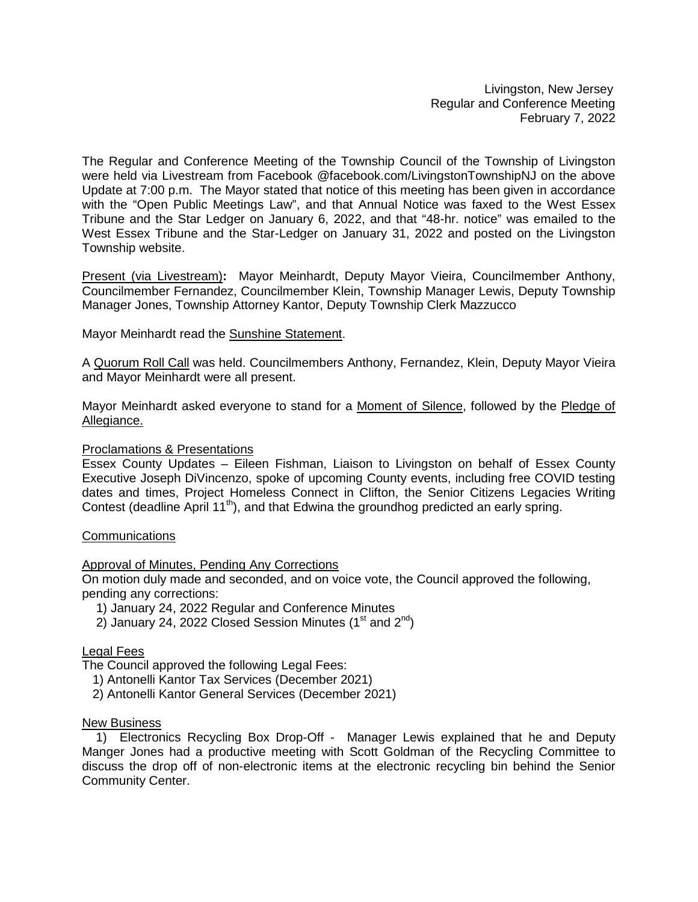Livingston, New Jersey Regular and Conference Meeting February 7, 2022

The Regular and Conference Meeting of the Township Council of the Township of Livingston were held via Livestream from Facebook @facebook.com/LivingstonTownshipNJ on the above Update at 7:00 p.m. The Mayor stated that notice of this meeting has been given in accordance with the "Open Public Meetings Law", and that Annual Notice was faxed to the West Essex Tribune and the Star Ledger on January 6, 2022, and that "48-hr. notice" was emailed to the West Essex Tribune and the Star-Ledger on January 31, 2022 and posted on the Livingston Township website.

Present (via Livestream)**:** Mayor Meinhardt, Deputy Mayor Vieira, Councilmember Anthony, Councilmember Fernandez, Councilmember Klein, Township Manager Lewis, Deputy Township Manager Jones, Township Attorney Kantor, Deputy Township Clerk Mazzucco

Mayor Meinhardt read the Sunshine Statement.

A Quorum Roll Call was held. Councilmembers Anthony, Fernandez, Klein, Deputy Mayor Vieira and Mayor Meinhardt were all present.

Mayor Meinhardt asked everyone to stand for a Moment of Silence, followed by the Pledge of Allegiance.

## Proclamations & Presentations

Essex County Updates – Eileen Fishman, Liaison to Livingston on behalf of Essex County Executive Joseph DiVincenzo, spoke of upcoming County events, including free COVID testing dates and times, Project Homeless Connect in Clifton, the Senior Citizens Legacies Writing Contest (deadline April 11<sup>th</sup>), and that Edwina the groundhog predicted an early spring.

# **Communications**

# Approval of Minutes, Pending Any Corrections

On motion duly made and seconded, and on voice vote, the Council approved the following, pending any corrections:

- 1) January 24, 2022 Regular and Conference Minutes
- 2) January 24, 2022 Closed Session Minutes  $(1<sup>st</sup>$  and  $2<sup>nd</sup>)$

# Legal Fees

The Council approved the following Legal Fees:

- 1) Antonelli Kantor Tax Services (December 2021)
- 2) Antonelli Kantor General Services (December 2021)

### New Business

 1) Electronics Recycling Box Drop-Off - Manager Lewis explained that he and Deputy Manger Jones had a productive meeting with Scott Goldman of the Recycling Committee to discuss the drop off of non-electronic items at the electronic recycling bin behind the Senior Community Center.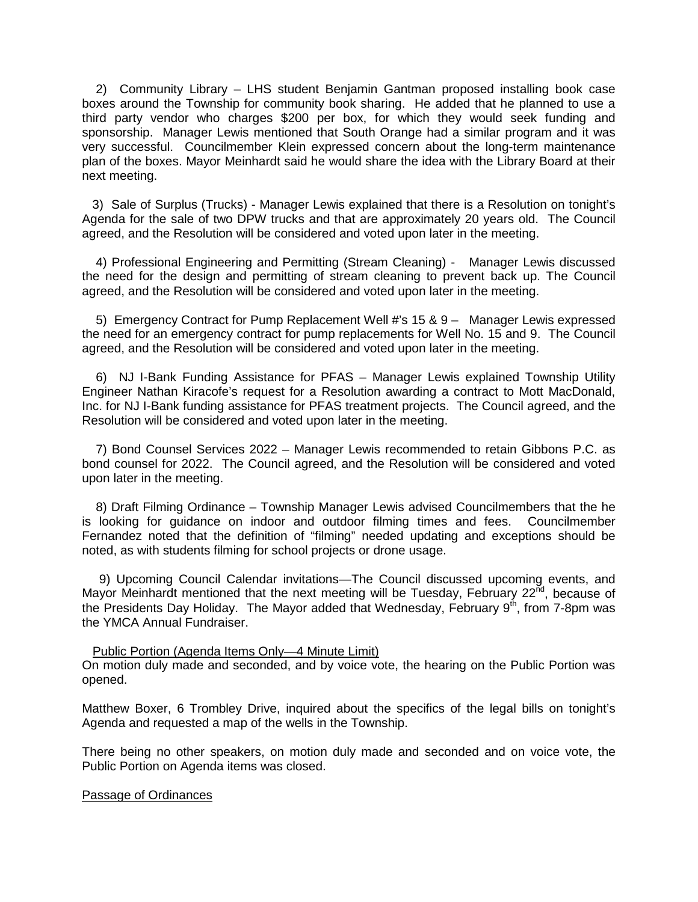2) Community Library – LHS student Benjamin Gantman proposed installing book case boxes around the Township for community book sharing. He added that he planned to use a third party vendor who charges \$200 per box, for which they would seek funding and sponsorship. Manager Lewis mentioned that South Orange had a similar program and it was very successful. Councilmember Klein expressed concern about the long-term maintenance plan of the boxes. Mayor Meinhardt said he would share the idea with the Library Board at their next meeting.

 3) Sale of Surplus (Trucks) - Manager Lewis explained that there is a Resolution on tonight's Agenda for the sale of two DPW trucks and that are approximately 20 years old. The Council agreed, and the Resolution will be considered and voted upon later in the meeting.

 4) Professional Engineering and Permitting (Stream Cleaning) - Manager Lewis discussed the need for the design and permitting of stream cleaning to prevent back up. The Council agreed, and the Resolution will be considered and voted upon later in the meeting.

 5) Emergency Contract for Pump Replacement Well #'s 15 & 9 – Manager Lewis expressed the need for an emergency contract for pump replacements for Well No. 15 and 9. The Council agreed, and the Resolution will be considered and voted upon later in the meeting.

 6) NJ I-Bank Funding Assistance for PFAS – Manager Lewis explained Township Utility Engineer Nathan Kiracofe's request for a Resolution awarding a contract to Mott MacDonald, Inc. for NJ I-Bank funding assistance for PFAS treatment projects. The Council agreed, and the Resolution will be considered and voted upon later in the meeting.

 7) Bond Counsel Services 2022 – Manager Lewis recommended to retain Gibbons P.C. as bond counsel for 2022. The Council agreed, and the Resolution will be considered and voted upon later in the meeting.

 8) Draft Filming Ordinance – Township Manager Lewis advised Councilmembers that the he is looking for guidance on indoor and outdoor filming times and fees. Councilmember Fernandez noted that the definition of "filming" needed updating and exceptions should be noted, as with students filming for school projects or drone usage.

 9) Upcoming Council Calendar invitations—The Council discussed upcoming events, and Mayor Meinhardt mentioned that the next meeting will be Tuesday, February 22<sup>nd</sup>, because of the Presidents Day Holiday. The Mayor added that Wednesday, February  $9<sup>th</sup>$ , from 7-8pm was the YMCA Annual Fundraiser.

### Public Portion (Agenda Items Only—4 Minute Limit)

On motion duly made and seconded, and by voice vote, the hearing on the Public Portion was opened.

Matthew Boxer, 6 Trombley Drive, inquired about the specifics of the legal bills on tonight's Agenda and requested a map of the wells in the Township.

There being no other speakers, on motion duly made and seconded and on voice vote, the Public Portion on Agenda items was closed.

### Passage of Ordinances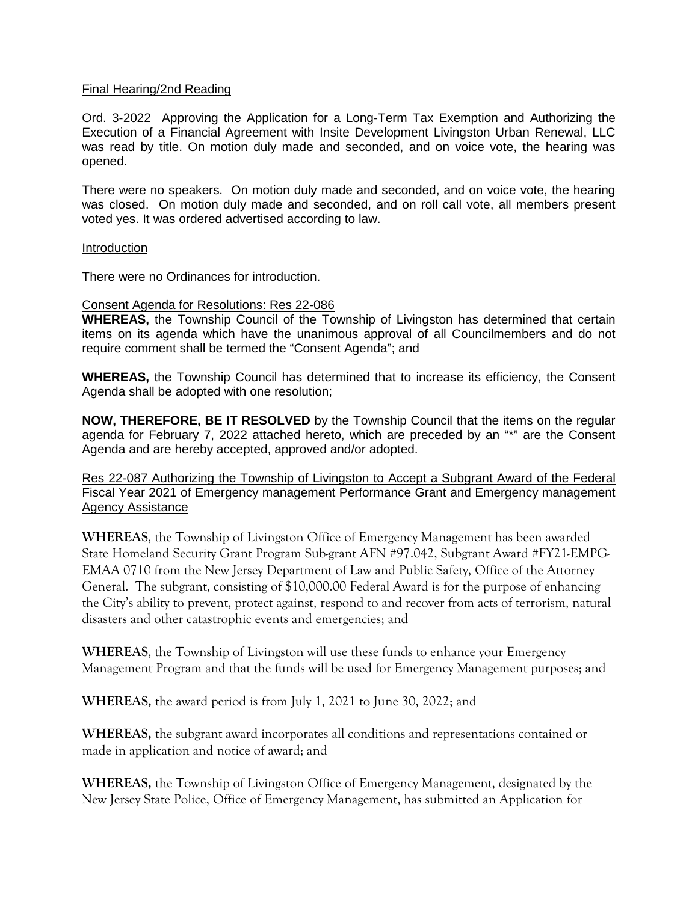# Final Hearing/2nd Reading

Ord. 3-2022 Approving the Application for a Long-Term Tax Exemption and Authorizing the Execution of a Financial Agreement with Insite Development Livingston Urban Renewal, LLC was read by title. On motion duly made and seconded, and on voice vote, the hearing was opened.

There were no speakers. On motion duly made and seconded, and on voice vote, the hearing was closed. On motion duly made and seconded, and on roll call vote, all members present voted yes. It was ordered advertised according to law.

# Introduction

There were no Ordinances for introduction.

# Consent Agenda for Resolutions: Res 22-086

**WHEREAS,** the Township Council of the Township of Livingston has determined that certain items on its agenda which have the unanimous approval of all Councilmembers and do not require comment shall be termed the "Consent Agenda"; and

**WHEREAS,** the Township Council has determined that to increase its efficiency, the Consent Agenda shall be adopted with one resolution;

**NOW, THEREFORE, BE IT RESOLVED** by the Township Council that the items on the regular agenda for February 7, 2022 attached hereto, which are preceded by an "\*" are the Consent Agenda and are hereby accepted, approved and/or adopted.

Res 22-087 Authorizing the Township of Livingston to Accept a Subgrant Award of the Federal Fiscal Year 2021 of Emergency management Performance Grant and Emergency management **Agency Assistance** 

**WHEREAS**, the Township of Livingston Office of Emergency Management has been awarded State Homeland Security Grant Program Sub-grant AFN #97.042, Subgrant Award #FY21-EMPG-EMAA 0710 from the New Jersey Department of Law and Public Safety, Office of the Attorney General. The subgrant, consisting of \$10,000.00 Federal Award is for the purpose of enhancing the City's ability to prevent, protect against, respond to and recover from acts of terrorism, natural disasters and other catastrophic events and emergencies; and

**WHEREAS**, the Township of Livingston will use these funds to enhance your Emergency Management Program and that the funds will be used for Emergency Management purposes; and

**WHEREAS,** the award period is from July 1, 2021 to June 30, 2022; and

**WHEREAS,** the subgrant award incorporates all conditions and representations contained or made in application and notice of award; and

**WHEREAS,** the Township of Livingston Office of Emergency Management, designated by the New Jersey State Police, Office of Emergency Management, has submitted an Application for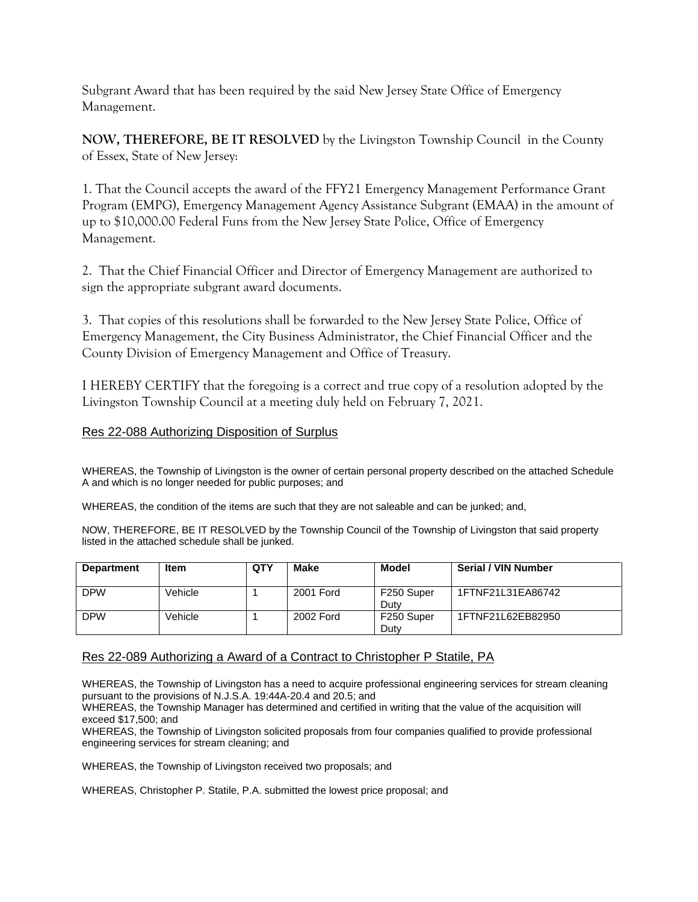Subgrant Award that has been required by the said New Jersey State Office of Emergency Management.

**NOW, THEREFORE, BE IT RESOLVED** by the Livingston Township Council in the County of Essex, State of New Jersey:

1. That the Council accepts the award of the FFY21 Emergency Management Performance Grant Program (EMPG), Emergency Management Agency Assistance Subgrant (EMAA) in the amount of up to \$10,000.00 Federal Funs from the New Jersey State Police, Office of Emergency Management.

2. That the Chief Financial Officer and Director of Emergency Management are authorized to sign the appropriate subgrant award documents.

3. That copies of this resolutions shall be forwarded to the New Jersey State Police, Office of Emergency Management, the City Business Administrator, the Chief Financial Officer and the County Division of Emergency Management and Office of Treasury.

I HEREBY CERTIFY that the foregoing is a correct and true copy of a resolution adopted by the Livingston Township Council at a meeting duly held on February 7, 2021.

# Res 22-088 Authorizing Disposition of Surplus

WHEREAS, the Township of Livingston is the owner of certain personal property described on the attached Schedule A and which is no longer needed for public purposes; and

WHEREAS, the condition of the items are such that they are not saleable and can be junked; and,

NOW, THEREFORE, BE IT RESOLVED by the Township Council of the Township of Livingston that said property listed in the attached schedule shall be junked.

| <b>Department</b> | <b>Item</b> | <b>QTY</b> | Make      | Model                          | Serial / VIN Number |
|-------------------|-------------|------------|-----------|--------------------------------|---------------------|
| <b>DPW</b>        | Vehicle     |            | 2001 Ford | F250 Super<br>Duty             | 1FTNF21L31EA86742   |
| <b>DPW</b>        | Vehicle     |            | 2002 Ford | F <sub>250</sub> Super<br>Duty | 1FTNF21L62EB82950   |

# Res 22-089 Authorizing a Award of a Contract to Christopher P Statile, PA

WHEREAS, the Township of Livingston has a need to acquire professional engineering services for stream cleaning pursuant to the provisions of N.J.S.A. 19:44A-20.4 and 20.5; and

WHEREAS, the Township Manager has determined and certified in writing that the value of the acquisition will exceed \$17,500; and

WHEREAS, the Township of Livingston solicited proposals from four companies qualified to provide professional engineering services for stream cleaning; and

WHEREAS, the Township of Livingston received two proposals; and

WHEREAS, Christopher P. Statile, P.A. submitted the lowest price proposal; and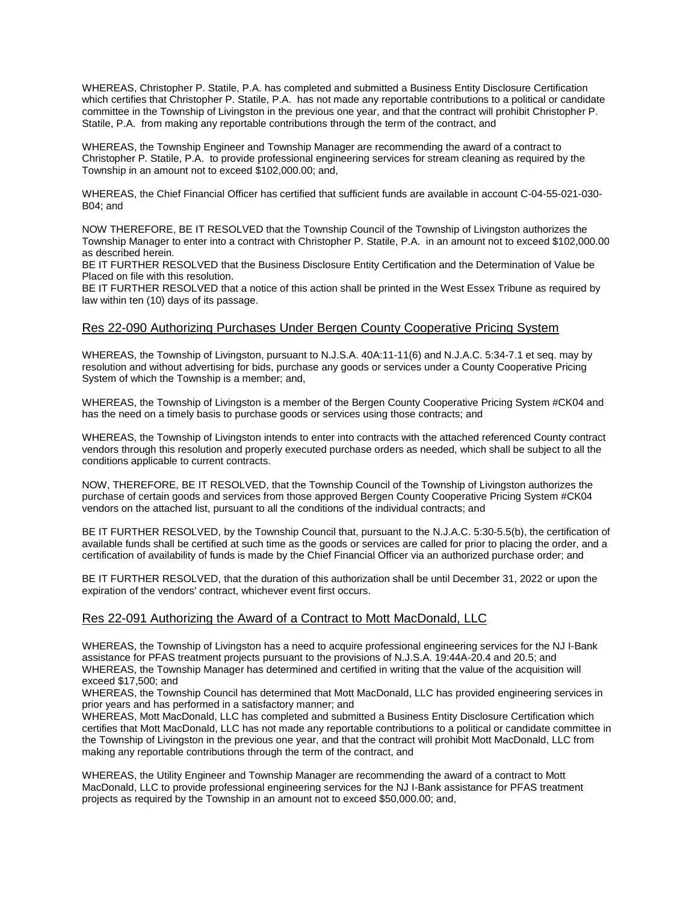WHEREAS, Christopher P. Statile, P.A. has completed and submitted a Business Entity Disclosure Certification which certifies that Christopher P. Statile, P.A. has not made any reportable contributions to a political or candidate committee in the Township of Livingston in the previous one year, and that the contract will prohibit Christopher P. Statile, P.A. from making any reportable contributions through the term of the contract, and

WHEREAS, the Township Engineer and Township Manager are recommending the award of a contract to Christopher P. Statile, P.A. to provide professional engineering services for stream cleaning as required by the Township in an amount not to exceed \$102,000.00; and,

WHEREAS, the Chief Financial Officer has certified that sufficient funds are available in account C-04-55-021-030- B04; and

NOW THEREFORE, BE IT RESOLVED that the Township Council of the Township of Livingston authorizes the Township Manager to enter into a contract with Christopher P. Statile, P.A. in an amount not to exceed \$102,000.00 as described herein.

BE IT FURTHER RESOLVED that the Business Disclosure Entity Certification and the Determination of Value be Placed on file with this resolution.

BE IT FURTHER RESOLVED that a notice of this action shall be printed in the West Essex Tribune as required by law within ten (10) days of its passage.

### Res 22-090 Authorizing Purchases Under Bergen County Cooperative Pricing System

WHEREAS, the Township of Livingston, pursuant to N.J.S.A. 40A:11-11(6) and N.J.A.C. 5:34-7.1 et seq. may by resolution and without advertising for bids, purchase any goods or services under a County Cooperative Pricing System of which the Township is a member; and,

WHEREAS, the Township of Livingston is a member of the Bergen County Cooperative Pricing System #CK04 and has the need on a timely basis to purchase goods or services using those contracts; and

WHEREAS, the Township of Livingston intends to enter into contracts with the attached referenced County contract vendors through this resolution and properly executed purchase orders as needed, which shall be subject to all the conditions applicable to current contracts.

NOW, THEREFORE, BE IT RESOLVED, that the Township Council of the Township of Livingston authorizes the purchase of certain goods and services from those approved Bergen County Cooperative Pricing System #CK04 vendors on the attached list, pursuant to all the conditions of the individual contracts; and

BE IT FURTHER RESOLVED, by the Township Council that, pursuant to the N.J.A.C. 5:30-5.5(b), the certification of available funds shall be certified at such time as the goods or services are called for prior to placing the order, and a certification of availability of funds is made by the Chief Financial Officer via an authorized purchase order; and

BE IT FURTHER RESOLVED, that the duration of this authorization shall be until December 31, 2022 or upon the expiration of the vendors' contract, whichever event first occurs.

#### Res 22-091 Authorizing the Award of a Contract to Mott MacDonald, LLC

WHEREAS, the Township of Livingston has a need to acquire professional engineering services for the NJ I-Bank assistance for PFAS treatment projects pursuant to the provisions of N.J.S.A. 19:44A-20.4 and 20.5; and WHEREAS, the Township Manager has determined and certified in writing that the value of the acquisition will exceed \$17,500; and

WHEREAS, the Township Council has determined that Mott MacDonald, LLC has provided engineering services in prior years and has performed in a satisfactory manner; and

WHEREAS, Mott MacDonald, LLC has completed and submitted a Business Entity Disclosure Certification which certifies that Mott MacDonald, LLC has not made any reportable contributions to a political or candidate committee in the Township of Livingston in the previous one year, and that the contract will prohibit Mott MacDonald, LLC from making any reportable contributions through the term of the contract, and

WHEREAS, the Utility Engineer and Township Manager are recommending the award of a contract to Mott MacDonald, LLC to provide professional engineering services for the NJ I-Bank assistance for PFAS treatment projects as required by the Township in an amount not to exceed \$50,000.00; and,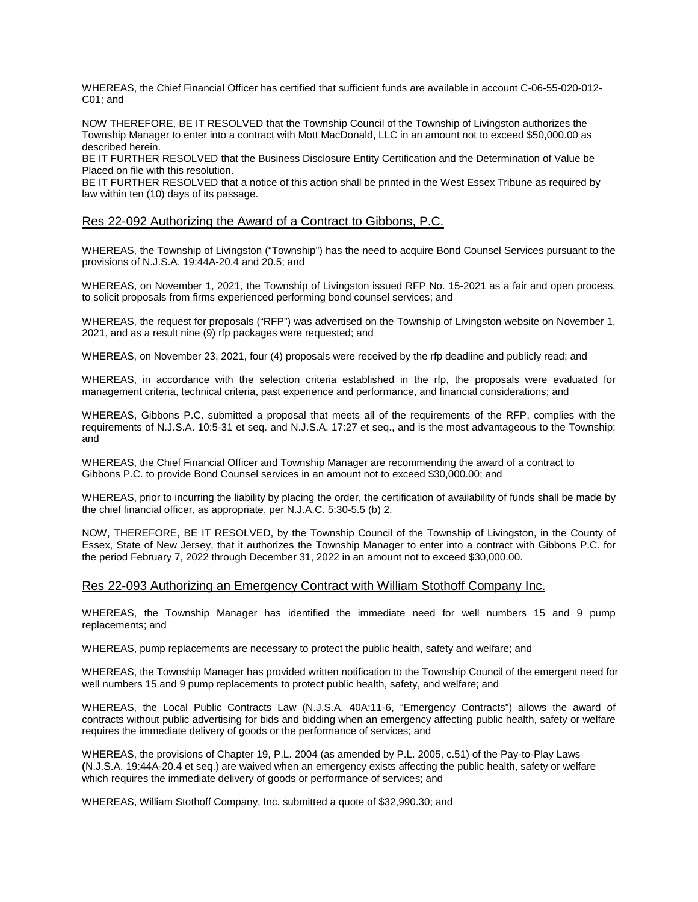WHEREAS, the Chief Financial Officer has certified that sufficient funds are available in account C-06-55-020-012- C01; and

NOW THEREFORE, BE IT RESOLVED that the Township Council of the Township of Livingston authorizes the Township Manager to enter into a contract with Mott MacDonald, LLC in an amount not to exceed \$50,000.00 as described herein.

BE IT FURTHER RESOLVED that the Business Disclosure Entity Certification and the Determination of Value be Placed on file with this resolution.

BE IT FURTHER RESOLVED that a notice of this action shall be printed in the West Essex Tribune as required by law within ten (10) days of its passage.

### Res 22-092 Authorizing the Award of a Contract to Gibbons, P.C.

WHEREAS, the Township of Livingston ("Township") has the need to acquire Bond Counsel Services pursuant to the provisions of N.J.S.A. 19:44A-20.4 and 20.5; and

WHEREAS, on November 1, 2021, the Township of Livingston issued RFP No. 15-2021 as a fair and open process, to solicit proposals from firms experienced performing bond counsel services; and

WHEREAS, the request for proposals ("RFP") was advertised on the Township of Livingston website on November 1, 2021, and as a result nine (9) rfp packages were requested; and

WHEREAS, on November 23, 2021, four (4) proposals were received by the rfp deadline and publicly read; and

WHEREAS, in accordance with the selection criteria established in the rfp, the proposals were evaluated for management criteria, technical criteria, past experience and performance, and financial considerations; and

WHEREAS, Gibbons P.C. submitted a proposal that meets all of the requirements of the RFP, complies with the requirements of N.J.S.A. 10:5-31 et seq. and N.J.S.A. 17:27 et seq., and is the most advantageous to the Township; and

WHEREAS, the Chief Financial Officer and Township Manager are recommending the award of a contract to Gibbons P.C. to provide Bond Counsel services in an amount not to exceed \$30,000.00; and

WHEREAS, prior to incurring the liability by placing the order, the certification of availability of funds shall be made by the chief financial officer, as appropriate, per N.J.A.C. 5:30-5.5 (b) 2.

NOW, THEREFORE, BE IT RESOLVED, by the Township Council of the Township of Livingston, in the County of Essex, State of New Jersey, that it authorizes the Township Manager to enter into a contract with Gibbons P.C. for the period February 7, 2022 through December 31, 2022 in an amount not to exceed \$30,000.00.

#### Res 22-093 Authorizing an Emergency Contract with William Stothoff Company Inc.

WHEREAS, the Township Manager has identified the immediate need for well numbers 15 and 9 pump replacements; and

WHEREAS, pump replacements are necessary to protect the public health, safety and welfare; and

WHEREAS, the Township Manager has provided written notification to the Township Council of the emergent need for well numbers 15 and 9 pump replacements to protect public health, safety, and welfare; and

WHEREAS, the Local Public Contracts Law (N.J.S.A. 40A:11-6, "Emergency Contracts") allows the award of contracts without public advertising for bids and bidding when an emergency affecting public health, safety or welfare requires the immediate delivery of goods or the performance of services; and

WHEREAS, the provisions of Chapter 19, P.L. 2004 (as amended by P.L. 2005, c.51) of the Pay-to-Play Laws **(**N.J.S.A. 19:44A-20.4 et seq.) are waived when an emergency exists affecting the public health, safety or welfare which requires the immediate delivery of goods or performance of services; and

WHEREAS, William Stothoff Company, Inc. submitted a quote of \$32,990.30; and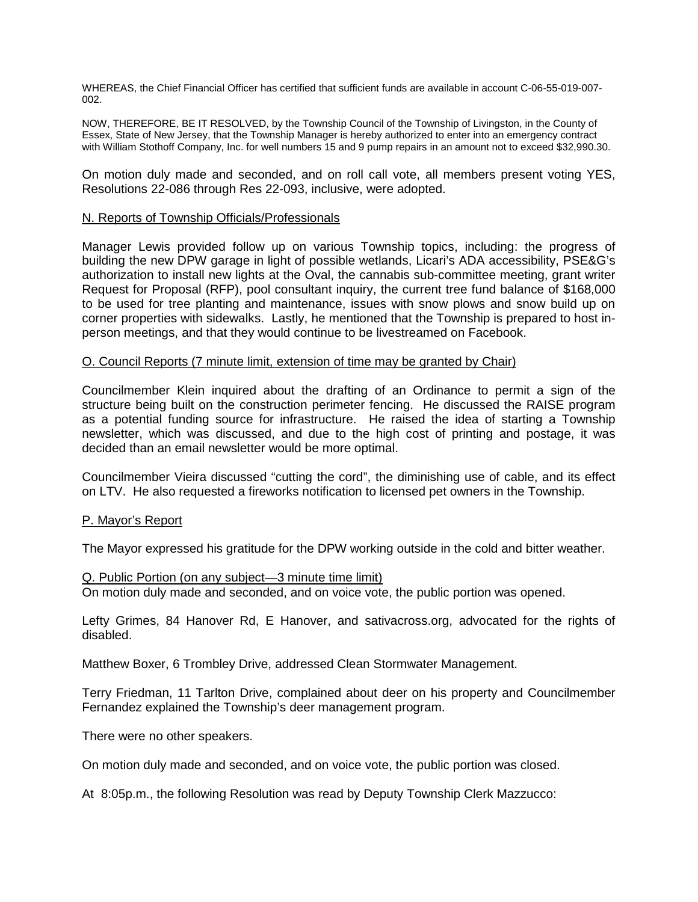WHEREAS, the Chief Financial Officer has certified that sufficient funds are available in account C-06-55-019-007- 002.

NOW, THEREFORE, BE IT RESOLVED, by the Township Council of the Township of Livingston, in the County of Essex, State of New Jersey, that the Township Manager is hereby authorized to enter into an emergency contract with William Stothoff Company, Inc. for well numbers 15 and 9 pump repairs in an amount not to exceed \$32,990.30.

On motion duly made and seconded, and on roll call vote, all members present voting YES, Resolutions 22-086 through Res 22-093, inclusive, were adopted.

## N. Reports of Township Officials/Professionals

Manager Lewis provided follow up on various Township topics, including: the progress of building the new DPW garage in light of possible wetlands, Licari's ADA accessibility, PSE&G's authorization to install new lights at the Oval, the cannabis sub-committee meeting, grant writer Request for Proposal (RFP), pool consultant inquiry, the current tree fund balance of \$168,000 to be used for tree planting and maintenance, issues with snow plows and snow build up on corner properties with sidewalks. Lastly, he mentioned that the Township is prepared to host inperson meetings, and that they would continue to be livestreamed on Facebook.

# O. Council Reports (7 minute limit, extension of time may be granted by Chair)

Councilmember Klein inquired about the drafting of an Ordinance to permit a sign of the structure being built on the construction perimeter fencing. He discussed the RAISE program as a potential funding source for infrastructure. He raised the idea of starting a Township newsletter, which was discussed, and due to the high cost of printing and postage, it was decided than an email newsletter would be more optimal.

Councilmember Vieira discussed "cutting the cord", the diminishing use of cable, and its effect on LTV. He also requested a fireworks notification to licensed pet owners in the Township.

### P. Mayor's Report

The Mayor expressed his gratitude for the DPW working outside in the cold and bitter weather.

### Q. Public Portion (on any subject—3 minute time limit)

On motion duly made and seconded, and on voice vote, the public portion was opened.

Lefty Grimes, 84 Hanover Rd, E Hanover, and sativacross.org, advocated for the rights of disabled.

Matthew Boxer, 6 Trombley Drive, addressed Clean Stormwater Management.

Terry Friedman, 11 Tarlton Drive, complained about deer on his property and Councilmember Fernandez explained the Township's deer management program.

There were no other speakers.

On motion duly made and seconded, and on voice vote, the public portion was closed.

At 8:05p.m., the following Resolution was read by Deputy Township Clerk Mazzucco: